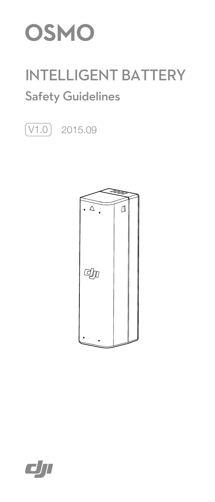

# INTELLIGENT BATTERY Safety Guidelines

 $\boxed{\text{V1.0}}$  2015.09



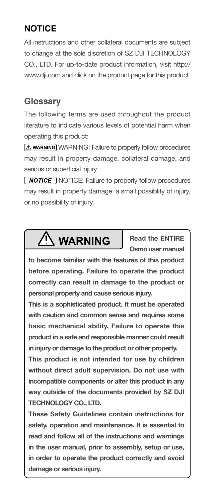# **NOTICE**

All instructions and other collateral documents are subject to change at the sole discretion of SZ DJI TECHNOLOGY CO., LTD. For up-to-date product information, visit http:// www.dji.com and click on the product page for this product.

# **Glossary**

The following terms are used throughout the product literature to indicate various levels of potential harm when operating this product:

**AWARNING:** Failure to properly follow procedures may result in property damage, collateral damage, and serious or superficial injury.

**NOTICE:** Failure to properly follow procedures may result in property damage, a small possiblity of injury, or no possibility of injury.

# WARNING

**Read the ENTIRE Osmo user manual** 

**to become familiar with the features of this product before operating. Failure to operate the product correctly can result in damage to the product or personal property and cause serious injury.**

**This is a sophisticated product. It must be operated with caution and common sense and requires some basic mechanical ability. Failure to operate this product in a safe and responsible manner could result in injury or damage to the product or other property.** 

**This product is not intended for use by children without direct adult supervision. Do not use with incompatible components or alter this product in any way outside of the documents provided by SZ DJI TECHNOLOGY CO., LTD.** 

**These Safety Guidelines contain instructions for safety, operation and maintenance. It is essential to read and follow all of the instructions and warnings in the user manual, prior to assembly, setup or use, in order to operate the product correctly and avoid damage or serious injury.**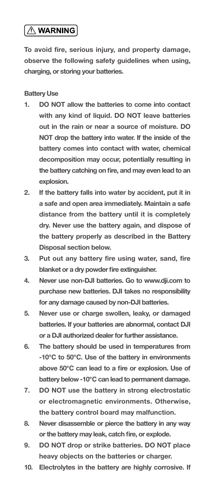# $\overline{\wedge}$  WARNING

**To avoid fire, serious injury, and property damage, observe the following safety guidelines when using, charging, or storing your batteries.**

## **Battery Use**

- **1. DO NOT allow the batteries to come into contact with any kind of liquid. DO NOT leave batteries out in the rain or near a source of moisture. DO NOT drop the battery into water. If the inside of the battery comes into contact with water, chemical decomposition may occur, potentially resulting in the battery catching on fire, and may even lead to an explosion.**
- **2. If the battery falls into water by accident, put it in a safe and open area immediately. Maintain a safe distance from the battery until it is completely dry. Never use the battery again, and dispose of the battery properly as described in the Battery Disposal section below.**
- **3. Put out any battery fire using water, sand, fire blanket or a dry powder fire extinguisher.**
- **4. Never use non-DJI batteries. Go to www.dji.com to purchase new batteries. DJI takes no responsibility for any damage caused by non-DJI batteries.**
- **5. Never use or charge swollen, leaky, or damaged batteries. If your batteries are abnormal, contact DJI or a DJI authorized dealer for further assistance.**
- **6. The battery should be used in temperatures from -10℃ to 50℃. Use of the battery in environments above 50℃ can lead to a fire or explosion. Use of battery below -10℃ can lead to permanent damage.**
- **7. DO NOT use the battery in strong electrostatic or electromagnetic environments. Otherwise, the battery control board may malfunction.**
- **8. Never disassemble or pierce the battery in any way or the battery may leak, catch fire, or explode.**
- **9. DO NOT drop or strike batteries. DO NOT place heavy objects on the batteries or charger.**
- **10. Electrolytes in the battery are highly corrosive. If**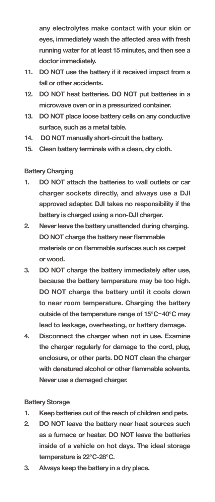**any electrolytes make contact with your skin or eyes, immediately wash the affected area with fresh running water for at least 15 minutes, and then see a doctor immediately.**

- **11. DO NOT use the battery if it received impact from a fall or other accidents.**
- **12. DO NOT heat batteries. DO NOT put batteries in a microwave oven or in a pressurized container.**
- **13. DO NOT place loose battery cells on any conductive surface, such as a metal table.**
- **14. DO NOT manually short-circuit the battery.**
- **15. Clean battery terminals with a clean, dry cloth.**

## **Battery Charging**

- **1. DO NOT attach the batteries to wall outlets or car charger sockets directly, and always use a DJI approved adapter. DJI takes no responsibility if the battery is charged using a non-DJI charger.**
- **2. Never leave the battery unattended during charging. DO NOT charge the battery near flammable materials or on flammable surfaces such as carpet or wood.**
- **3. DO NOT charge the battery immediately after use, because the battery temperature may be too high. DO NOT charge the battery until it cools down to near room temperature. Charging the battery outside of the temperature range of 15℃-40℃ may lead to leakage, overheating, or battery damage.**
- **4. Disconnect the charger when not in use. Examine the charger regularly for damage to the cord, plug, enclosure, or other parts. DO NOT clean the charger with denatured alcohol or other flammable solvents. Never use a damaged charger.**

# **Battery Storage**

- **1. Keep batteries out of the reach of children and pets.**
- **2. DO NOT leave the battery near heat sources such as a furnace or heater. DO NOT leave the batteries inside of a vehicle on hot days. The ideal storage temperature is 22℃-28℃.**
- **3. Always keep the battery in a dry place.**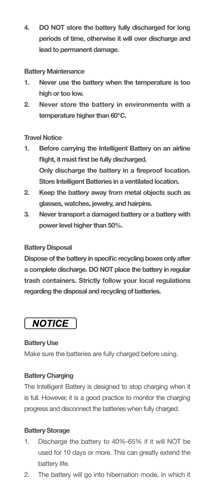**4. DO NOT store the battery fully discharged for long periods of time, otherwise it will over discharge and lead to permanent damage.** 

## **Battery Maintenance**

- **1. Never use the battery when the temperature is too high or too low.**
- **2. Never store the battery in environments with a temperature higher than 60℃.**

# **Travel Notice**

- **1. Before carrying the Intelligent Battery on an airline flight, it must first be fully discharged. Only discharge the battery in a fireproof location. Store Intelligent Batteries in a ventilated location.**
- **2. Keep the battery away from metal objects such as glasses, watches, jewelry, and hairpins.**
- **3. Never transport a damaged battery or a battery with power level higher than 50%.**

## **Battery Disposal**

**Dispose of the battery in specific recycling boxes only after a complete discharge. DO NOT place the battery in regular trash containers. Strictly follow your local regulations regarding the disposal and recycling of batteries.**

# **NOTICE**

# **Battery Use**

Make sure the batteries are fully charged before using.

# **Battery Charging**

The Intelligent Battery is designed to stop charging when it is full. However, it is a good practice to monitor the charging progress and disconnect the batteries when fully charged.

# **Battery Storage**

- 1. Discharge the battery to 40%-65% if it will NOT be used for 10 days or more. This can greatly extend the battery life.
- 2. The battery will go into hibernation mode, in which it